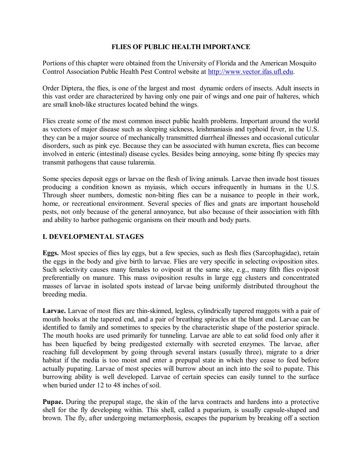## **FLIES OF PUBLIC HEALTH IMPORTANCE**

Portions of this chapter were obtained from the University of Florida and the American Mosquito Control Association Public Health Pest Control website at [http://www.vector.ifas.ufl.edu.](http://www.vector.ifas.ufl.edu/)

Order Diptera, the flies, is one of the largest and most dynamic orders of insects. Adult insects in this vast order are characterized by having only one pair of wings and one pair of halteres, which are small knob-like structures located behind the wings.

Flies create some of the most common insect public health problems. Important around the world as vectors of major disease such as sleeping sickness, leishmaniasis and typhoid fever, in the U.S. they can be a major source of mechanically transmitted diarrheal illnesses and occasional cuticular disorders, such as pink eye. Because they can be associated with human excreta, flies can become involved in enteric (intestinal) disease cycles. Besides being annoying, some biting fly species may transmit pathogens that cause tularemia.

Some species deposit eggs or larvae on the flesh of living animals. Larvae then invade host tissues producing a condition known as myiasis, which occurs infrequently in humans in the U.S. Through sheer numbers, domestic non-biting flies can be a nuisance to people in their work, home, or recreational environment. Several species of flies and gnats are important household pests, not only because of the general annoyance, but also because of their association with filth and ability to harbor pathogenic organisms on their mouth and body parts.

# **I. DEVELOPMENTAL STAGES**

**Eggs.** Most species of flies lay eggs, but a few species, such as flesh flies (Sarcophagidae), retain the eggs in the body and give birth to larvae. Flies are very specific in selecting oviposition sites. Such selectivity causes many females to oviposit at the same site, e.g., many filth flies oviposit preferentially on manure. This mass oviposition results in large egg clusters and concentrated masses of larvae in isolated spots instead of larvae being uniformly distributed throughout the breeding media.

Larvae. Larvae of most flies are thin-skinned, legless, cylindrically tapered maggots with a pair of mouth hooks at the tapered end, and a pair of breathing spiracles at the blunt end. Larvae can be identified to family and sometimes to species by the characteristic shape of the posterior spiracle. The mouth hooks are used primarily for tunneling. Larvae are able to eat solid food only after it has been liquefied by being predigested externally with secreted enzymes. The larvae, after reaching full development by going through several instars (usually three), migrate to a drier habitat if the media is too moist and enter a prepupal state in which they cease to feed before actually pupating. Larvae of most species will burrow about an inch into the soil to pupate. This burrowing ability is well developed. Larvae of certain species can easily tunnel to the surface when buried under 12 to 48 inches of soil.

**Pupae.** During the prepupal stage, the skin of the larva contracts and hardens into a protective shell for the fly developing within. This shell, called a puparium, is usually capsule-shaped and brown. The fly, after undergoing metamorphosis, escapes the puparium by breaking off a section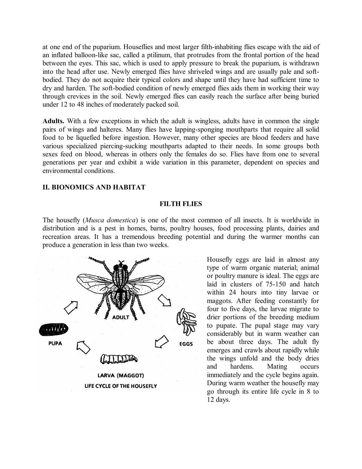at one end of the puparium. Houseflies and most larger filth-inhabiting flies escape with the aid of an inflated balloon-like sac, called a ptilinum, that protrudes from the frontal portion of the head between the eyes. This sac, which is used to apply pressure to break the puparium, is withdrawn into the head after use. Newly emerged flies have shriveled wings and are usually pale and soft bodied. They do not acquire their typical colors and shape until they have had sufficient time to dry and harden. The soft-bodied condition of newly emerged flies aids them in working their way through crevices in the soil. Newly emerged flies can easily reach the surface after being buried under 12 to 48 inches of moderately packed soil.

**Adults.** With a few exceptions in which the adult is wingless, adults have in common the single pairs of wings and halteres. Many flies have lapping-sponging mouthparts that require all solid food to be liquefied before ingestion. However, many other species are blood feeders and have various specialized piercing-sucking mouthparts adapted to their needs. In some groups both sexes feed on blood, whereas in others only the females do so. Flies have from one to several generations per year and exhibit a wide variation in this parameter, dependent on species and environmental conditions.

### **II. BIONOMICS AND HABITAT**

#### **FILTH FLIES**

The housefly (*Musca domestica*) is one of the most common of all insects. It is worldwide in distribution and is a pest in homes, barns, poultry houses, food processing plants, dairies and recreation areas. It has a tremendous breeding potential and during the warmer months can produce a generation in less than two weeks.



Housefly eggs are laid in almost any type of warm organic material; animal or poultry manure is ideal. The eggs are laid in clusters of 75-150 and hatch within 24 hours into tiny larvae or maggots. After feeding constantly for four to five days, the larvae migrate to drier portions of the breeding medium to pupate. The pupal stage may vary considerably but in warm weather can be about three days. The adult fly emerges and crawls about rapidly while the wings unfold and the body dries and hardens. Mating occurs immediately and the cycle begins again. During warm weather the housefly may go through its entire life cycle in 8 to 12 days.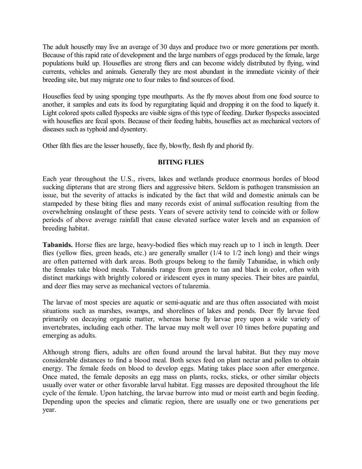The adult housefly may live an average of 30 days and produce two or more generations per month. Because of this rapid rate of development and the large numbers of eggs produced by the female, large populations build up. Houseflies are strong fliers and can become widely distributed by flying, wind currents, vehicles and animals. Generally they are most abundant in the immediate vicinity of their breeding site, but may migrate one to four miles to find sources of food.

Houseflies feed by using sponging type mouthparts. As the fly moves about from one food source to another, it samples and eats its food by regurgitating liquid and dropping it on the food to liquefy it. Light colored spots called flyspecks are visible signs of this type of feeding. Darker flyspecks associated with houseflies are fecal spots. Because of their feeding habits, houseflies act as mechanical vectors of diseases such as typhoid and dysentery.

Other filth flies are the lesser housefly, face fly, blowfly, flesh fly and phorid fly.

# **BITING FLIES**

Each year throughout the U.S., rivers, lakes and wetlands produce enormous hordes of blood sucking dipterans that are strong fliers and aggressive biters. Seldom is pathogen transmission an issue, but the severity of attacks is indicated by the fact that wild and domestic animals can be stampeded by these biting flies and many records exist of animal suffocation resulting from the overwhelming onslaught of these pests. Years of severe activity tend to coincide with or follow periods of above average rainfall that cause elevated surface water levels and an expansion of breeding habitat.

**Tabanids.** Horse flies are large, heavy-bodied flies which may reach up to 1 inch in length. Deer flies (yellow flies, green heads, etc.) are generally smaller (1/4 to 1/2 inch long) and their wings are often patterned with dark areas. Both groups belong to the family Tabanidae, in which only the females take blood meals. Tabanids range from green to tan and black in color, often with distinct markings with brightly colored or iridescent eyes in many species. Their bites are painful, and deer flies may serve as mechanical vectors of tularemia.

The larvae of most species are aquatic or semi-aquatic and are thus often associated with moist situations such as marshes, swamps, and shorelines of lakes and ponds. Deer fly larvae feed primarily on decaying organic matter, whereas horse fly larvae prey upon a wide variety of invertebrates, including each other. The larvae may molt well over 10 times before pupating and emerging as adults.

Although strong fliers, adults are often found around the larval habitat. But they may move considerable distances to find a blood meal. Both sexes feed on plant nectar and pollen to obtain energy. The female feeds on blood to develop eggs. Mating takes place soon after emergence. Once mated, the female deposits an egg mass on plants, rocks, sticks, or other similar objects usually over water or other favorable larval habitat. Egg masses are deposited throughout the life cycle of the female. Upon hatching, the larvae burrow into mud or moist earth and begin feeding. Depending upon the species and climatic region, there are usually one or two generations per year.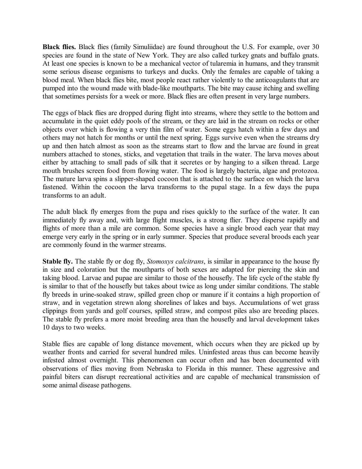**Black flies.** Black flies (family Simuliidae) are found throughout the U.S. For example, over 30 species are found in the state of New York. They are also called turkey gnats and buffalo gnats. At least one species is known to be a mechanical vector of tularemia in humans, and they transmit some serious disease organisms to turkeys and ducks. Only the females are capable of taking a blood meal. When black flies bite, most people react rather violently to the anticoagulants that are pumped into the wound made with blade-like mouthparts. The bite may cause itching and swelling that sometimes persists for a week or more. Black flies are often present in very large numbers.

The eggs of black flies are dropped during flight into streams, where they settle to the bottom and accumulate in the quiet eddy pools of the stream, or they are laid in the stream on rocks or other objects over which is flowing a very thin film of water. Some eggs hatch within a few days and others may not hatch for months or until the next spring. Eggs survive even when the streams dry up and then hatch almost as soon as the streams start to flow and the larvae are found in great numbers attached to stones, sticks, and vegetation that trails in the water. The larva moves about either by attaching to small pads of silk that it secretes or by hanging to a silken thread. Large mouth brushes screen food from flowing water. The food is largely bacteria, algae and protozoa. The mature larva spins a slipper-shaped cocoon that is attached to the surface on which the larva fastened. Within the cocoon the larva transforms to the pupal stage. In a few days the pupa transforms to an adult.

The adult black fly emerges from the pupa and rises quickly to the surface of the water. It can immediately fly away and, with large flight muscles, is a strong flier. They disperse rapidly and flights of more than a mile are common. Some species have a single brood each year that may emerge very early in the spring or in early summer. Species that produce several broods each year are commonly found in the warmer streams.

**Stable fly.** The stable fly or dog fly, *Stomoxys calcitrans*, is similar in appearance to the house fly in size and coloration but the mouthparts of both sexes are adapted for piercing the skin and taking blood. Larvae and pupae are similar to those of the housefly. The life cycle of the stable fly is similar to that of the housefly but takes about twice as long under similar conditions. The stable fly breeds in urine-soaked straw, spilled green chop or manure if it contains a high proportion of straw, and in vegetation strewn along shorelines of lakes and bays. Accumulations of wet grass clippings from yards and golf courses, spilled straw, and compost piles also are breeding places. The stable fly prefers a more moist breeding area than the housefly and larval development takes 10 days to two weeks.

Stable flies are capable of long distance movement, which occurs when they are picked up by weather fronts and carried for several hundred miles. Uninfested areas thus can become heavily infested almost overnight. This phenomenon can occur often and has been documented with observations of flies moving from Nebraska to Florida in this manner. These aggressive and painful biters can disrupt recreational activities and are capable of mechanical transmission of some animal disease pathogens.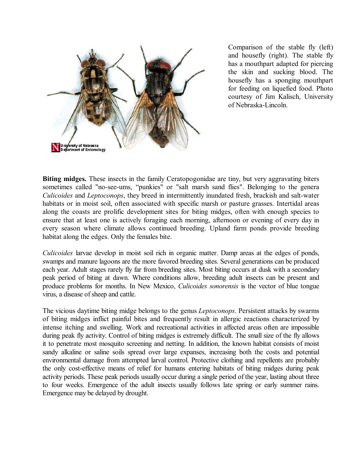

Comparison of the stable fly (left) and housefly (right). The stable fly has a mouthpart adapted for piercing the skin and sucking blood. The housefly has a sponging mouthpart for feeding on liquefied food. Photo courtesy of Jim Kalisch, University of Nebraska-Lincoln.

**Biting midges.** These insects in the family Ceratopogonidae are tiny, but very aggravating biters sometimes called "no-see-ums, "punkies" or "salt marsh sand flies". Belonging to the genera *Culicoides* and *Leptoconops*, they breed in intermittently inundated fresh, brackish and salt-water habitats or in moist soil, often associated with specific marsh or pasture grasses. Intertidal areas along the coasts are prolific development sites for biting midges, often with enough species to ensure that at least one is actively foraging each morning, afternoon or evening of every day in every season where climate allows continued breeding. Upland farm ponds provide breeding habitat along the edges. Only the females bite.

*Culicoides* larvae develop in moist soil rich in organic matter. Damp areas at the edges of ponds, swamps and manure lagoons are the more favored breeding sites. Several generations can be produced each year. Adult stages rarely fly far from breeding sites. Most biting occurs at dusk with a secondary peak period of biting at dawn. Where conditions allow, breeding adult insects can be present and produce problems for months. In New Mexico, *Culicoides sonorensis* is the vector of blue tongue virus, a disease of sheep and cattle.

The vicious daytime biting midge belongs to the genus *Leptoconops*. Persistent attacks by swarms of biting midges inflict painful bites and frequently result in allergic reactions characterized by intense itching and swelling. Work and recreational activities in affected areas often are impossible during peak fly activity. Control of biting midges is extremely difficult. The small size of the fly allows it to penetrate most mosquito screening and netting. In addition, the known habitat consists of moist sandy alkaline or saline soils spread over large expanses, increasing both the costs and potential environmental damage from attempted larval control. Protective clothing and repellents are probably the only costeffective means of relief for humans entering habitats of biting midges during peak activity periods. These peak periods usually occur during a single period of the year, lasting about three to four weeks. Emergence of the adult insects usually follows late spring or early summer rains. Emergence may be delayed by drought.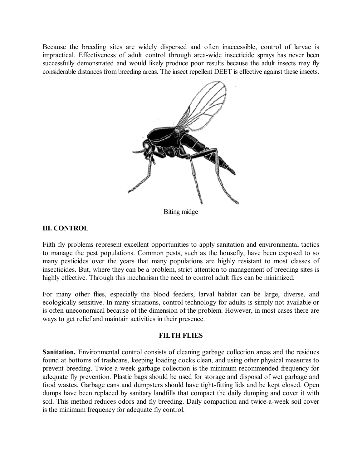Because the breeding sites are widely dispersed and often inaccessible, control of larvae is impractical. Effectiveness of adult control through area-wide insecticide sprays has never been successfully demonstrated and would likely produce poor results because the adult insects may fly considerable distances from breeding areas. The insect repellent DEET is effective against these insects.



Biting midge

# **III. CONTROL**

Filth fly problems represent excellent opportunities to apply sanitation and environmental tactics to manage the pest populations. Common pests, such as the housefly, have been exposed to so many pesticides over the years that many populations are highly resistant to most classes of insecticides. But, where they can be a problem, strict attention to management of breeding sites is highly effective. Through this mechanism the need to control adult flies can be minimized.

For many other flies, especially the blood feeders, larval habitat can be large, diverse, and ecologically sensitive. In many situations, control technology for adults is simply not available or is often uneconomical because of the dimension of the problem. However, in most cases there are ways to get relief and maintain activities in their presence.

### **FILTH FLIES**

**Sanitation.** Environmental control consists of cleaning garbage collection areas and the residues found at bottoms of trashcans, keeping loading docks clean, and using other physical measures to prevent breeding. Twice-a-week garbage collection is the minimum recommended frequency for adequate fly prevention. Plastic bags should be used for storage and disposal of wet garbage and food wastes. Garbage cans and dumpsters should have tight-fitting lids and be kept closed. Open dumps have been replaced by sanitary landfills that compact the daily dumping and cover it with soil. This method reduces odors and fly breeding. Daily compaction and twice-a-week soil cover is the minimum frequency for adequate fly control.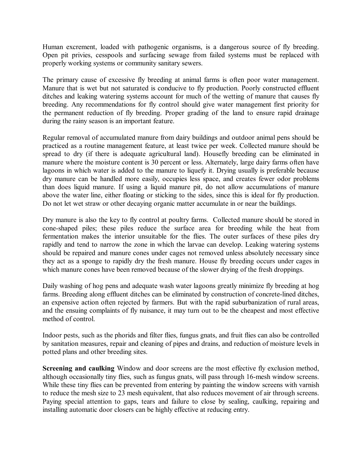Human excrement, loaded with pathogenic organisms, is a dangerous source of fly breeding. Open pit privies, cesspools and surfacing sewage from failed systems must be replaced with properly working systems or community sanitary sewers.

The primary cause of excessive fly breeding at animal farms is often poor water management. Manure that is wet but not saturated is conducive to fly production. Poorly constructed effluent ditches and leaking watering systems account for much of the wetting of manure that causes fly breeding. Any recommendations for fly control should give water management first priority for the permanent reduction of fly breeding. Proper grading of the land to ensure rapid drainage during the rainy season is an important feature.

Regular removal of accumulated manure from dairy buildings and outdoor animal pens should be practiced as a routine management feature, at least twice per week. Collected manure should be spread to dry (if there is adequate agricultural land). Housefly breeding can be eliminated in manure where the moisture content is 30 percent or less. Alternately, large dairy farms often have lagoons in which water is added to the manure to liquefy it. Drying usually is preferable because dry manure can be handled more easily, occupies less space, and creates fewer odor problems than does liquid manure. If using a liquid manure pit, do not allow accumulations of manure above the water line, either floating or sticking to the sides, since this is ideal for fly production. Do not let wet straw or other decaying organic matter accumulate in or near the buildings.

Dry manure is also the key to fly control at poultry farms. Collected manure should be stored in cone-shaped piles; these piles reduce the surface area for breeding while the heat from fermentation makes the interior unsuitable for the flies. The outer surfaces of these piles dry rapidly and tend to narrow the zone in which the larvae can develop. Leaking watering systems should be repaired and manure cones under cages not removed unless absolutely necessary since they act as a sponge to rapidly dry the fresh manure. House fly breeding occurs under cages in which manure cones have been removed because of the slower drying of the fresh droppings.

Daily washing of hog pens and adequate wash water lagoons greatly minimize fly breeding at hog farms. Breeding along effluent ditches can be eliminated by construction of concrete-lined ditches, an expensive action often rejected by farmers. But with the rapid suburbanization of rural areas, and the ensuing complaints of fly nuisance, it may turn out to be the cheapest and most effective method of control.

Indoor pests, such as the phorids and filter flies, fungus gnats, and fruit flies can also be controlled by sanitation measures, repair and cleaning of pipes and drains, and reduction of moisture levels in potted plans and other breeding sites.

**Screening and caulking** Window and door screens are the most effective fly exclusion method, although occasionally tiny flies, such as fungus gnats, will pass through 16-mesh window screens. While these tiny flies can be prevented from entering by painting the window screens with varnish to reduce the mesh size to 23 mesh equivalent, that also reduces movement of air through screens. Paying special attention to gaps, tears and failure to close by sealing, caulking, repairing and installing automatic door closers can be highly effective at reducing entry.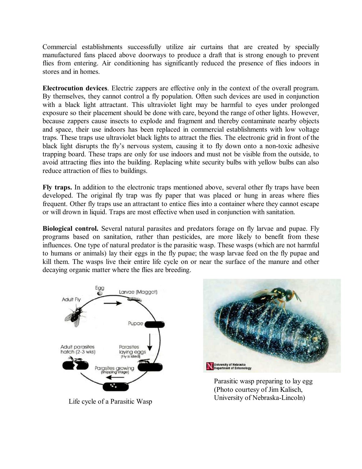Commercial establishments successfully utilize air curtains that are created by specially manufactured fans placed above doorways to produce a draft that is strong enough to prevent flies from entering. Air conditioning has significantly reduced the presence of flies indoors in stores and in homes.

**Electrocution devices**. Electric zappers are effective only in the context of the overall program. By themselves, they cannot control a fly population. Often such devices are used in conjunction with a black light attractant. This ultraviolet light may be harmful to eyes under prolonged exposure so their placement should be done with care, beyond the range of other lights. However, because zappers cause insects to explode and fragment and thereby contaminate nearby objects and space, their use indoors has been replaced in commercial establishments with low voltage traps. These traps use ultraviolet black lights to attract the flies. The electronic grid in front of the black light disrupts the fly's nervous system, causing it to fly down onto a non-toxic adhesive trapping board. These traps are only for use indoors and must not be visible from the outside, to avoid attracting flies into the building. Replacing white security bulbs with yellow bulbs can also reduce attraction of flies to buildings.

**Fly traps.** In addition to the electronic traps mentioned above, several other fly traps have been developed. The original fly trap was fly paper that was placed or hung in areas where flies frequent. Other fly traps use an attractant to entice flies into a container where they cannot escape or will drown in liquid. Traps are most effective when used in conjunction with sanitation.

**Biological control.** Several natural parasites and predators forage on fly larvae and pupae. Fly programs based on sanitation, rather than pesticides, are more likely to benefit from these influences. One type of natural predator is the parasitic wasp. These wasps (which are not harmful to humans or animals) lay their eggs in the fly pupae; the wasp larvae feed on the fly pupae and kill them. The wasps live their entire life cycle on or near the surface of the manure and other decaying organic matter where the flies are breeding.





Parasitic wasp preparing to lay egg (Photo courtesy of Jim Kalisch, University of NebraskaLincoln) Life cycle of a Parasitic Wasp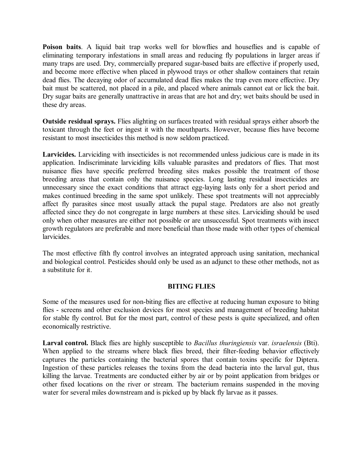**Poison baits**. A liquid bait trap works well for blowflies and houseflies and is capable of eliminating temporary infestations in small areas and reducing fly populations in larger areas if many traps are used. Dry, commercially prepared sugar-based baits are effective if properly used, and become more effective when placed in plywood trays or other shallow containers that retain dead flies. The decaying odor of accumulated dead flies makes the trap even more effective. Dry bait must be scattered, not placed in a pile, and placed where animals cannot eat or lick the bait. Dry sugar baits are generally unattractive in areas that are hot and dry; wet baits should be used in these dry areas.

**Outside residual sprays.** Flies alighting on surfaces treated with residual sprays either absorb the toxicant through the feet or ingest it with the mouthparts. However, because flies have become resistant to most insecticides this method is now seldom practiced.

**Larvicides.** Larviciding with insecticides is not recommended unless judicious care is made in its application. Indiscriminate larviciding kills valuable parasites and predators of flies. That most nuisance flies have specific preferred breeding sites makes possible the treatment of those breeding areas that contain only the nuisance species. Long lasting residual insecticides are unnecessary since the exact conditions that attract egg-laying lasts only for a short period and makes continued breeding in the same spot unlikely. These spot treatments will not appreciably affect fly parasites since most usually attack the pupal stage. Predators are also not greatly affected since they do not congregate in large numbers at these sites. Larviciding should be used only when other measures are either not possible or are unsuccessful. Spot treatments with insect growth regulators are preferable and more beneficial than those made with other types of chemical larvicides.

The most effective filth fly control involves an integrated approach using sanitation, mechanical and biological control. Pesticides should only be used as an adjunct to these other methods, not as a substitute for it.

### **BITING FLIES**

Some of the measures used for non-biting flies are effective at reducing human exposure to biting flies - screens and other exclusion devices for most species and management of breeding habitat for stable fly control. But for the most part, control of these pests is quite specialized, and often economically restrictive.

**Larval control.** Black flies are highly susceptible to *Bacillus thuringiensis* var. *israelensis* (Bti). When applied to the streams where black flies breed, their filter-feeding behavior effectively captures the particles containing the bacterial spores that contain toxins specific for Diptera. Ingestion of these particles releases the toxins from the dead bacteria into the larval gut, thus killing the larvae. Treatments are conducted either by air or by point application from bridges or other fixed locations on the river or stream. The bacterium remains suspended in the moving water for several miles downstream and is picked up by black fly larvae as it passes.